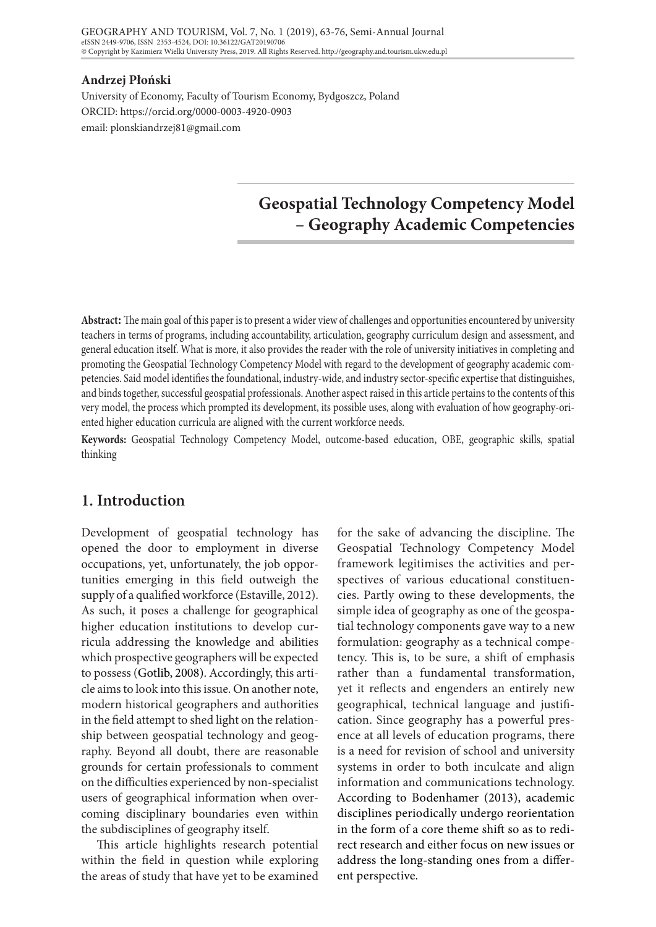#### **Andrzej Płoński**

University of Economy, Faculty of Tourism Economy, Bydgoszcz, Poland ORCID: https://orcid.org/0000-0003-4920-0903 email: plonskiandrzej81@gmail.com

# **Geospatial Technology Competency Model – Geography Academic Competencies**

**Abstract:** The main goal of this paper is to present a wider view of challenges and opportunities encountered by university teachers in terms of programs, including accountability, articulation, geography curriculum design and assessment, and general education itself. What is more, it also provides the reader with the role of university initiatives in completing and promoting the Geospatial Technology Competency Model with regard to the development of geography academic competencies. Said model identifies the foundational, industry-wide, and industry sector-specific expertise that distinguishes, and binds together, successful geospatial professionals. Another aspect raised in this article pertains to the contents of this very model, the process which prompted its development, its possible uses, along with evaluation of how geography-oriented higher education curricula are aligned with the current workforce needs.

**Keywords:** Geospatial Technology Competency Model, outcome-based education, OBE, geographic skills, spatial thinking

## **1. Introduction**

Development of geospatial technology has opened the door to employment in diverse occupations, yet, unfortunately, the job opportunities emerging in this field outweigh the supply of a qualified workforce (Estaville, 2012). As such, it poses a challenge for geographical higher education institutions to develop curricula addressing the knowledge and abilities which prospective geographers will be expected to possess (Gotlib, 2008). Accordingly, this article aims to look into this issue. On another note, modern historical geographers and authorities in the field attempt to shed light on the relationship between geospatial technology and geography. Beyond all doubt, there are reasonable grounds for certain professionals to comment on the difficulties experienced by non-specialist users of geographical information when overcoming disciplinary boundaries even within the subdisciplines of geography itself.

This article highlights research potential within the field in question while exploring the areas of study that have yet to be examined

for the sake of advancing the discipline. The Geospatial Technology Competency Model framework legitimises the activities and perspectives of various educational constituencies. Partly owing to these developments, the simple idea of geography as one of the geospatial technology components gave way to a new formulation: geography as a technical competency. This is, to be sure, a shift of emphasis rather than a fundamental transformation, yet it reflects and engenders an entirely new geographical, technical language and justification. Since geography has a powerful presence at all levels of education programs, there is a need for revision of school and university systems in order to both inculcate and align information and communications technology. According to Bodenhamer (2013), academic disciplines periodically undergo reorientation in the form of a core theme shift so as to redirect research and either focus on new issues or address the long-standing ones from a different perspective.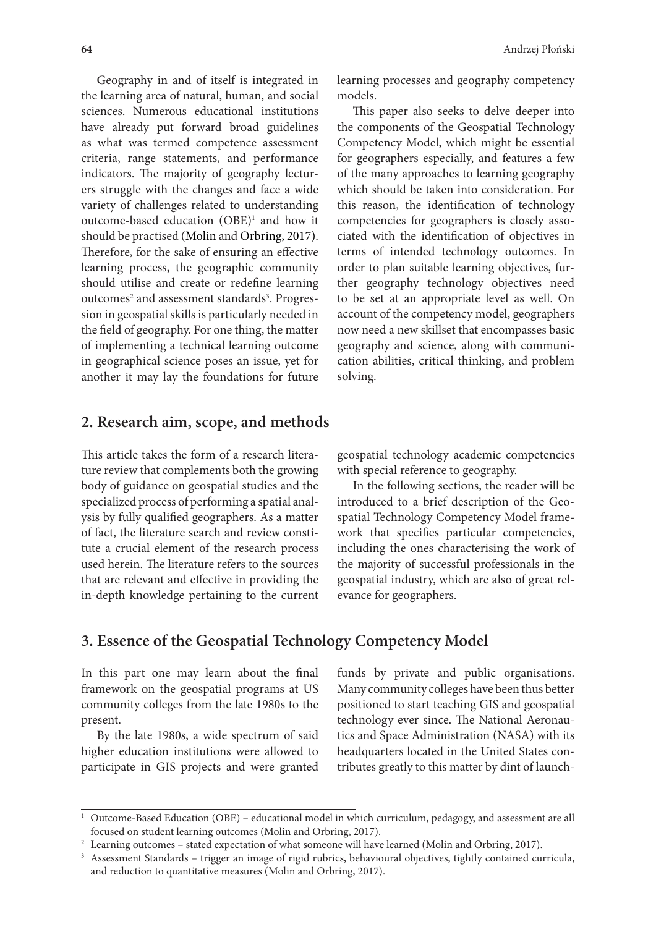Geography in and of itself is integrated in the learning area of natural, human, and social sciences. Numerous educational institutions have already put forward broad guidelines as what was termed competence assessment criteria, range statements, and performance indicators. The majority of geography lecturers struggle with the changes and face a wide variety of challenges related to understanding outcome-based education (OBE)<sup>1</sup> and how it should be practised (Molin and Orbring, 2017). Therefore, for the sake of ensuring an effective learning process, the geographic community should utilise and create or redefine learning outcomes<sup>2</sup> and assessment standards<sup>3</sup>. Progression in geospatial skills is particularly needed in the field of geography. For one thing, the matter of implementing a technical learning outcome in geographical science poses an issue, yet for another it may lay the foundations for future

learning processes and geography competency models.

This paper also seeks to delve deeper into the components of the Geospatial Technology Competency Model, which might be essential for geographers especially, and features a few of the many approaches to learning geography which should be taken into consideration. For this reason, the identification of technology competencies for geographers is closely associated with the identification of objectives in terms of intended technology outcomes. In order to plan suitable learning objectives, further geography technology objectives need to be set at an appropriate level as well. On account of the competency model, geographers now need a new skillset that encompasses basic geography and science, along with communication abilities, critical thinking, and problem solving.

## **2. Research aim, scope, and methods**

This article takes the form of a research literature review that complements both the growing body of guidance on geospatial studies and the specialized process of performing a spatial analysis by fully qualified geographers. As a matter of fact, the literature search and review constitute a crucial element of the research process used herein. The literature refers to the sources that are relevant and effective in providing the in-depth knowledge pertaining to the current

geospatial technology academic competencies with special reference to geography.

In the following sections, the reader will be introduced to a brief description of the Geospatial Technology Competency Model framework that specifies particular competencies, including the ones characterising the work of the majority of successful professionals in the geospatial industry, which are also of great relevance for geographers.

## **3. Essence of the Geospatial Technology Competency Model**

In this part one may learn about the final framework on the geospatial programs at US community colleges from the late 1980s to the present.

By the late 1980s, a wide spectrum of said higher education institutions were allowed to participate in GIS projects and were granted

funds by private and public organisations. Many community colleges have been thus better positioned to start teaching GIS and geospatial technology ever since. The National Aeronautics and Space Administration (NASA) with its headquarters located in the United States contributes greatly to this matter by dint of launch-

<sup>&</sup>lt;sup>1</sup> Outcome-Based Education (OBE) – educational model in which curriculum, pedagogy, and assessment are all focused on student learning outcomes (Molin and Orbring, 2017).

 $^{\rm 2}$  Learning outcomes – stated expectation of what someone will have learned (Molin and Orbring, 2017).

<sup>&</sup>lt;sup>3</sup> Assessment Standards – trigger an image of rigid rubrics, behavioural objectives, tightly contained curricula, and reduction to quantitative measures (Molin and Orbring, 2017).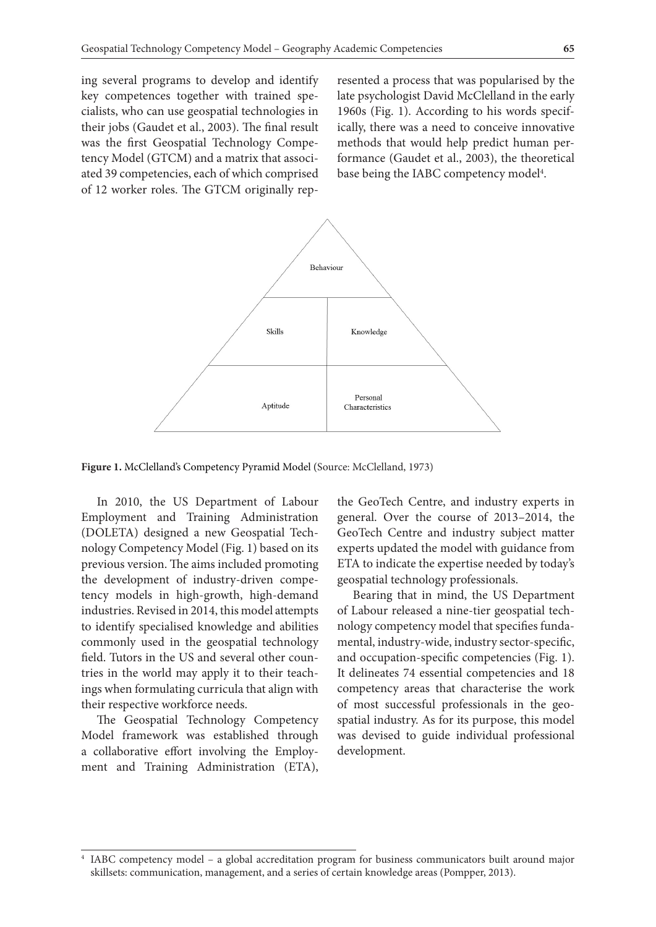ing several programs to develop and identify key competences together with trained specialists, who can use geospatial technologies in their jobs (Gaudet et al., 2003). The final result was the first Geospatial Technology Competency Model (GTCM) and a matrix that associated 39 competencies, each of which comprised of 12 worker roles. The GTCM originally represented a process that was popularised by the late psychologist David McClelland in the early 1960s (Fig. 1). According to his words specifically, there was a need to conceive innovative methods that would help predict human performance (Gaudet et al., 2003), the theoretical base being the IABC competency model<sup>4</sup>.



**Figure 1.** McClelland's Competency Pyramid Model (Source: McClelland, 1973)

In 2010, the US Department of Labour Employment and Training Administration (DOLETA) designed a new Geospatial Technology Competency Model (Fig. 1) based on its previous version. The aims included promoting the development of industry-driven competency models in high-growth, high-demand industries. Revised in 2014, this model attempts to identify specialised knowledge and abilities commonly used in the geospatial technology field. Tutors in the US and several other countries in the world may apply it to their teachings when formulating curricula that align with their respective workforce needs.

The Geospatial Technology Competency Model framework was established through a collaborative effort involving the Employment and Training Administration (ETA),

the GeoTech Centre, and industry experts in general. Over the course of 2013–2014, the GeoTech Centre and industry subject matter experts updated the model with guidance from ETA to indicate the expertise needed by today's geospatial technology professionals.

Bearing that in mind, the US Department of Labour released a nine-tier geospatial technology competency model that specifies fundamental, industry-wide, industry sector-specific, and occupation-specific competencies (Fig. 1). It delineates 74 essential competencies and 18 competency areas that characterise the work of most successful professionals in the geospatial industry. As for its purpose, this model was devised to guide individual professional development.

<sup>4</sup> IABC competency model – a global accreditation program for business communicators built around major skillsets: communication, management, and a series of certain knowledge areas (Pompper, 2013).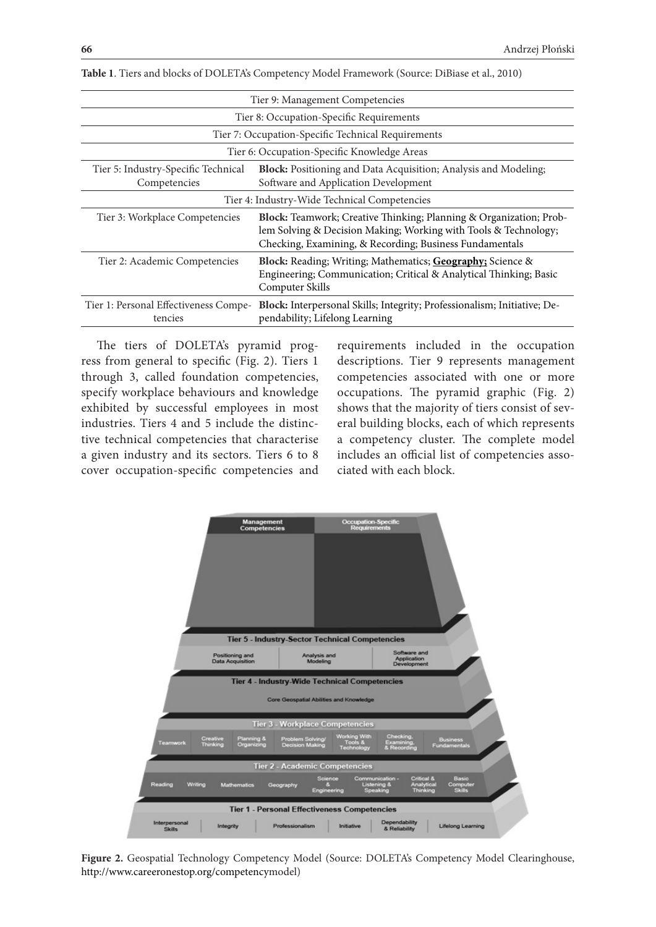| Tier 9: Management Competencies                     |                                                                                                                                                                                                  |  |  |
|-----------------------------------------------------|--------------------------------------------------------------------------------------------------------------------------------------------------------------------------------------------------|--|--|
| Tier 8: Occupation-Specific Requirements            |                                                                                                                                                                                                  |  |  |
| Tier 7: Occupation-Specific Technical Requirements  |                                                                                                                                                                                                  |  |  |
| Tier 6: Occupation-Specific Knowledge Areas         |                                                                                                                                                                                                  |  |  |
| Tier 5: Industry-Specific Technical<br>Competencies | Block: Positioning and Data Acquisition; Analysis and Modeling;<br>Software and Application Development                                                                                          |  |  |
| Tier 4: Industry-Wide Technical Competencies        |                                                                                                                                                                                                  |  |  |
| Tier 3: Workplace Competencies                      | Block: Teamwork; Creative Thinking; Planning & Organization; Prob-<br>lem Solving & Decision Making; Working with Tools & Technology;<br>Checking, Examining, & Recording; Business Fundamentals |  |  |
| Tier 2: Academic Competencies                       | <b>Block:</b> Reading; Writing; Mathematics; <b>Geography</b> ; Science &<br>Engineering; Communication; Critical & Analytical Thinking; Basic<br>Computer Skills                                |  |  |
| Tier 1: Personal Effectiveness Compe-<br>tencies    | Block: Interpersonal Skills; Integrity; Professionalism; Initiative; De-<br>pendability; Lifelong Learning                                                                                       |  |  |

**Table 1**. Tiers and blocks of DOLETA's Competency Model Framework (Source: DiBiase et al., 2010)

The tiers of DOLETA's pyramid progress from general to specific (Fig. 2). Tiers 1 through 3, called foundation competencies, specify workplace behaviours and knowledge exhibited by successful employees in most industries. Tiers 4 and 5 include the distinctive technical competencies that characterise a given industry and its sectors. Tiers 6 to 8 cover occupation-specific competencies and

requirements included in the occupation descriptions. Tier 9 represents management competencies associated with one or more occupations. The pyramid graphic (Fig. 2) shows that the majority of tiers consist of several building blocks, each of which represents a competency cluster. The complete model includes an official list of competencies associated with each block.



**Figure 2.** Geospatial Technology Competency Model (Source: DOLETA's Competency Model Clearinghouse, http://www.careeronestop.org/competencymodel)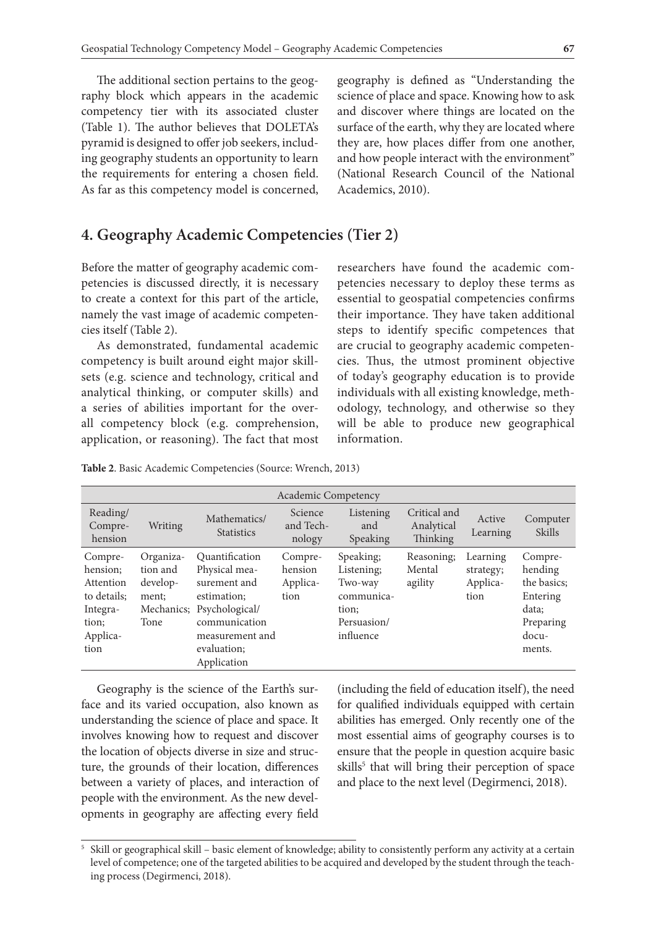The additional section pertains to the geography block which appears in the academic competency tier with its associated cluster (Table 1). The author believes that DOLETA's pyramid is designed to offer job seekers, including geography students an opportunity to learn the requirements for entering a chosen field. As far as this competency model is concerned,

**4. Geography Academic Competencies (Tier 2)**

Before the matter of geography academic competencies is discussed directly, it is necessary to create a context for this part of the article, namely the vast image of academic competencies itself (Table 2).

As demonstrated, fundamental academic competency is built around eight major skillsets (e.g. science and technology, critical and analytical thinking, or computer skills) and a series of abilities important for the overall competency block (e.g. comprehension, application, or reasoning). The fact that most geography is defined as "Understanding the science of place and space. Knowing how to ask and discover where things are located on the surface of the earth, why they are located where they are, how places differ from one another, and how people interact with the environment" (National Research Council of the National Academics, 2010).

researchers have found the academic competencies necessary to deploy these terms as essential to geospatial competencies confirms their importance. They have taken additional steps to identify specific competences that are crucial to geography academic competencies. Thus, the utmost prominent objective of today's geography education is to provide individuals with all existing knowledge, methodology, technology, and otherwise so they will be able to produce new geographical information.

| Table 2. Basic Academic Competencies (Source: Wrench, 2013) |  |
|-------------------------------------------------------------|--|
|-------------------------------------------------------------|--|

|                                                                                          |                                                    |                                                                                                                                                               | Academic Competency                    |                                                                                       |                                        |                                           |                                                                                        |
|------------------------------------------------------------------------------------------|----------------------------------------------------|---------------------------------------------------------------------------------------------------------------------------------------------------------------|----------------------------------------|---------------------------------------------------------------------------------------|----------------------------------------|-------------------------------------------|----------------------------------------------------------------------------------------|
| Reading/<br>Compre-<br>hension                                                           | Writing                                            | Mathematics/<br><b>Statistics</b>                                                                                                                             | Science<br>and Tech-<br>nology         | Listening<br>and<br>Speaking                                                          | Critical and<br>Analytical<br>Thinking | Active<br>Learning                        | Computer<br>Skills                                                                     |
| Compre-<br>hension:<br>Attention<br>to details:<br>Integra-<br>tion;<br>Applica-<br>tion | Organiza-<br>tion and<br>develop-<br>ment:<br>Tone | Quantification<br>Physical mea-<br>surement and<br>estimation:<br>Mechanics; Psychological/<br>communication<br>measurement and<br>evaluation:<br>Application | Compre-<br>hension<br>Applica-<br>tion | Speaking;<br>Listening;<br>Two-way<br>communica-<br>tion;<br>Persuasion/<br>influence | Reasoning;<br>Mental<br>agility        | Learning<br>strategy;<br>Applica-<br>tion | Compre-<br>hending<br>the basics:<br>Entering<br>data;<br>Preparing<br>docu-<br>ments. |

Geography is the science of the Earth's surface and its varied occupation, also known as understanding the science of place and space. It involves knowing how to request and discover the location of objects diverse in size and structure, the grounds of their location, differences between a variety of places, and interaction of people with the environment. As the new developments in geography are affecting every field

(including the field of education itself), the need for qualified individuals equipped with certain abilities has emerged. Only recently one of the most essential aims of geography courses is to ensure that the people in question acquire basic skills<sup>5</sup> that will bring their perception of space and place to the next level (Degirmenci, 2018).

<sup>5</sup> Skill or geographical skill – basic element of knowledge; ability to consistently perform any activity at a certain level of competence; one of the targeted abilities to be acquired and developed by the student through the teaching process (Degirmenci, 2018).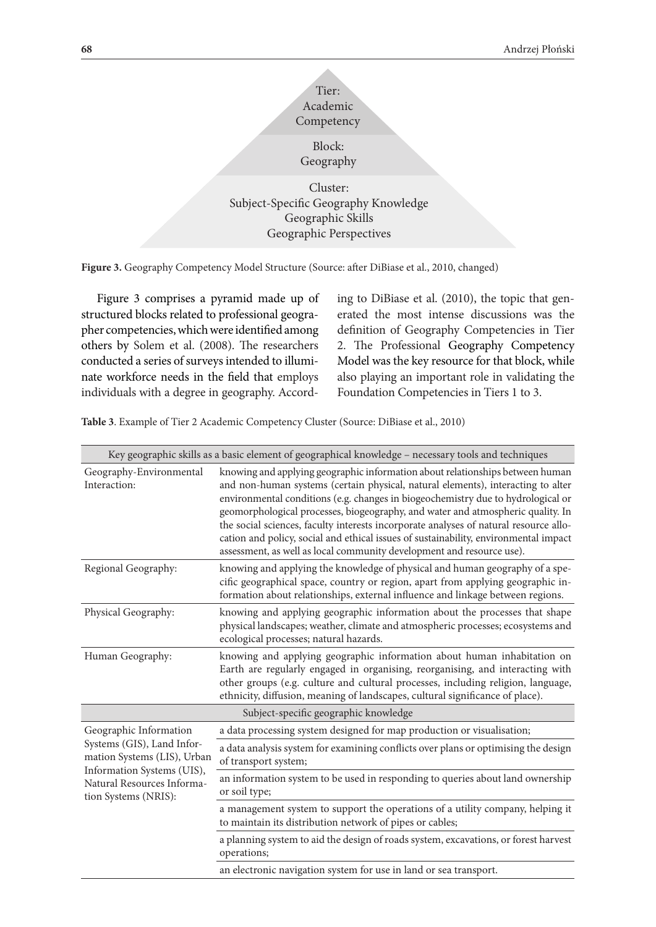

Cluster: Subject-Specific Geography Knowledge Geographic Skills Geographic Perspectives

**Figure 3.** Geography Competency Model Structure (Source: after DiBiase et al., 2010, changed)

Figure 3 comprises a pyramid made up of structured blocks related to professional geographer competencies, which were identified among others by Solem et al. (2008). The researchers conducted a series of surveys intended to illuminate workforce needs in the field that employs individuals with a degree in geography. According to DiBiase et al. (2010), the topic that generated the most intense discussions was the definition of Geography Competencies in Tier 2. The Professional Geography Competency Model was the key resource for that block, while also playing an important role in validating the Foundation Competencies in Tiers 1 to 3.

**Table 3**. Example of Tier 2 Academic Competency Cluster (Source: DiBiase et al., 2010)

|                                                                                                                                                                         | Key geographic skills as a basic element of geographical knowledge - necessary tools and techniques                                                                                                                                                                                                                                                                                                                                                                                                                                                                                                |
|-------------------------------------------------------------------------------------------------------------------------------------------------------------------------|----------------------------------------------------------------------------------------------------------------------------------------------------------------------------------------------------------------------------------------------------------------------------------------------------------------------------------------------------------------------------------------------------------------------------------------------------------------------------------------------------------------------------------------------------------------------------------------------------|
| Geography-Environmental<br>Interaction:                                                                                                                                 | knowing and applying geographic information about relationships between human<br>and non-human systems (certain physical, natural elements), interacting to alter<br>environmental conditions (e.g. changes in biogeochemistry due to hydrological or<br>geomorphological processes, biogeography, and water and atmospheric quality. In<br>the social sciences, faculty interests incorporate analyses of natural resource allo-<br>cation and policy, social and ethical issues of sustainability, environmental impact<br>assessment, as well as local community development and resource use). |
| Regional Geography:                                                                                                                                                     | knowing and applying the knowledge of physical and human geography of a spe-<br>cific geographical space, country or region, apart from applying geographic in-<br>formation about relationships, external influence and linkage between regions.                                                                                                                                                                                                                                                                                                                                                  |
| Physical Geography:                                                                                                                                                     | knowing and applying geographic information about the processes that shape<br>physical landscapes; weather, climate and atmospheric processes; ecosystems and<br>ecological processes; natural hazards.                                                                                                                                                                                                                                                                                                                                                                                            |
| Human Geography:                                                                                                                                                        | knowing and applying geographic information about human inhabitation on<br>Earth are regularly engaged in organising, reorganising, and interacting with<br>other groups (e.g. culture and cultural processes, including religion, language,<br>ethnicity, diffusion, meaning of landscapes, cultural significance of place).                                                                                                                                                                                                                                                                      |
|                                                                                                                                                                         | Subject-specific geographic knowledge                                                                                                                                                                                                                                                                                                                                                                                                                                                                                                                                                              |
| Geographic Information<br>Systems (GIS), Land Infor-<br>mation Systems (LIS), Urban<br>Information Systems (UIS),<br>Natural Resources Informa-<br>tion Systems (NRIS): | a data processing system designed for map production or visualisation;                                                                                                                                                                                                                                                                                                                                                                                                                                                                                                                             |
|                                                                                                                                                                         | a data analysis system for examining conflicts over plans or optimising the design<br>of transport system;                                                                                                                                                                                                                                                                                                                                                                                                                                                                                         |
|                                                                                                                                                                         | an information system to be used in responding to queries about land ownership<br>or soil type;                                                                                                                                                                                                                                                                                                                                                                                                                                                                                                    |
|                                                                                                                                                                         | a management system to support the operations of a utility company, helping it<br>to maintain its distribution network of pipes or cables;                                                                                                                                                                                                                                                                                                                                                                                                                                                         |
|                                                                                                                                                                         | a planning system to aid the design of roads system, excavations, or forest harvest<br>operations;                                                                                                                                                                                                                                                                                                                                                                                                                                                                                                 |
|                                                                                                                                                                         | an electronic navigation system for use in land or sea transport.                                                                                                                                                                                                                                                                                                                                                                                                                                                                                                                                  |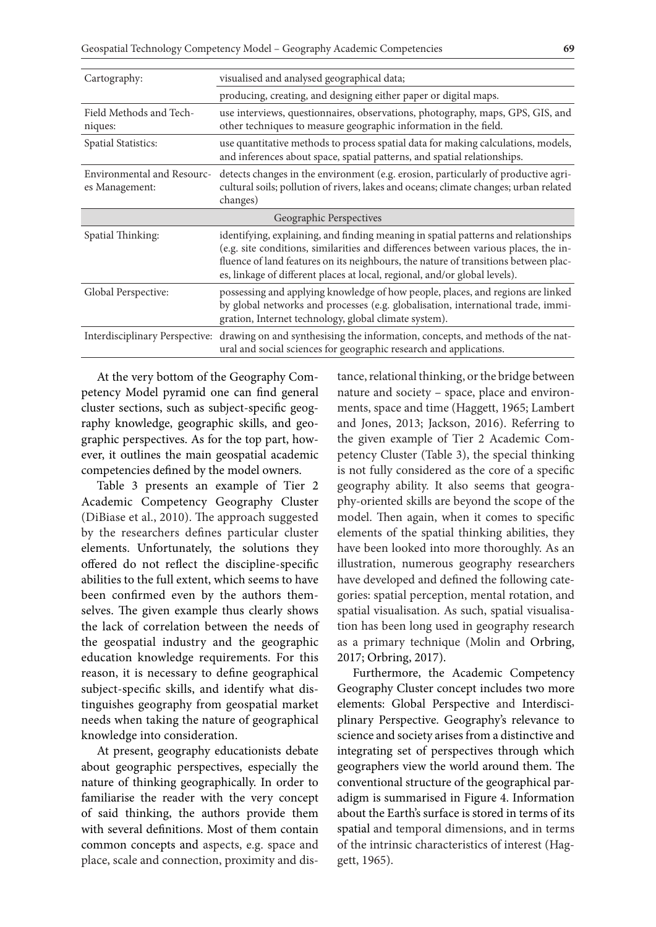| Cartography:                                        | visualised and analysed geographical data;                                                                                                                                                                                                                                                                                                     |
|-----------------------------------------------------|------------------------------------------------------------------------------------------------------------------------------------------------------------------------------------------------------------------------------------------------------------------------------------------------------------------------------------------------|
|                                                     | producing, creating, and designing either paper or digital maps.                                                                                                                                                                                                                                                                               |
| Field Methods and Tech-<br>niques:                  | use interviews, questionnaires, observations, photography, maps, GPS, GIS, and<br>other techniques to measure geographic information in the field.                                                                                                                                                                                             |
| Spatial Statistics:                                 | use quantitative methods to process spatial data for making calculations, models,<br>and inferences about space, spatial patterns, and spatial relationships.                                                                                                                                                                                  |
| <b>Environmental and Resourc-</b><br>es Management: | detects changes in the environment (e.g. erosion, particularly of productive agri-<br>cultural soils; pollution of rivers, lakes and oceans; climate changes; urban related<br>changes)                                                                                                                                                        |
| Geographic Perspectives                             |                                                                                                                                                                                                                                                                                                                                                |
| Spatial Thinking:                                   | identifying, explaining, and finding meaning in spatial patterns and relationships<br>(e.g. site conditions, similarities and differences between various places, the in-<br>fluence of land features on its neighbours, the nature of transitions between plac-<br>es, linkage of different places at local, regional, and/or global levels). |
| Global Perspective:                                 | possessing and applying knowledge of how people, places, and regions are linked<br>by global networks and processes (e.g. globalisation, international trade, immi-<br>gration, Internet technology, global climate system).                                                                                                                   |
|                                                     | Interdisciplinary Perspective: drawing on and synthesising the information, concepts, and methods of the nat-<br>ural and social sciences for geographic research and applications.                                                                                                                                                            |

At the very bottom of the Geography Competency Model pyramid one can find general cluster sections, such as subject-specific geography knowledge, geographic skills, and geographic perspectives. As for the top part, however, it outlines the main geospatial academic competencies defined by the model owners.

Table 3 presents an example of Tier 2 Academic Competency Geography Cluster (DiBiase et al., 2010). The approach suggested by the researchers defines particular cluster elements. Unfortunately, the solutions they offered do not reflect the discipline-specific abilities to the full extent, which seems to have been confirmed even by the authors themselves. The given example thus clearly shows the lack of correlation between the needs of the geospatial industry and the geographic education knowledge requirements. For this reason, it is necessary to define geographical subject-specific skills, and identify what distinguishes geography from geospatial market needs when taking the nature of geographical knowledge into consideration.

At present, geography educationists debate about geographic perspectives, especially the nature of thinking geographically. In order to familiarise the reader with the very concept of said thinking, the authors provide them with several definitions. Most of them contain common concepts and aspects, e.g. space and place, scale and connection, proximity and distance, relational thinking, or the bridge between nature and society – space, place and environments, space and time (Haggett, 1965; Lambert and Jones, 2013; Jackson, 2016). Referring to the given example of Tier 2 Academic Competency Cluster (Table 3), the special thinking is not fully considered as the core of a specific geography ability. It also seems that geography-oriented skills are beyond the scope of the model. Then again, when it comes to specific elements of the spatial thinking abilities, they have been looked into more thoroughly. As an illustration, numerous geography researchers have developed and defined the following categories: spatial perception, mental rotation, and spatial visualisation. As such, spatial visualisation has been long used in geography research as a primary technique (Molin and Orbring, 2017; Orbring, 2017).

Furthermore, the Academic Competency Geography Cluster concept includes two more elements: Global Perspective and Interdisciplinary Perspective. Geography's relevance to science and society arises from a distinctive and integrating set of perspectives through which geographers view the world around them. The conventional structure of the geographical paradigm is summarised in Figure 4. Information about the Earth's surface is stored in terms of its spatial and temporal dimensions, and in terms of the intrinsic characteristics of interest (Haggett, 1965).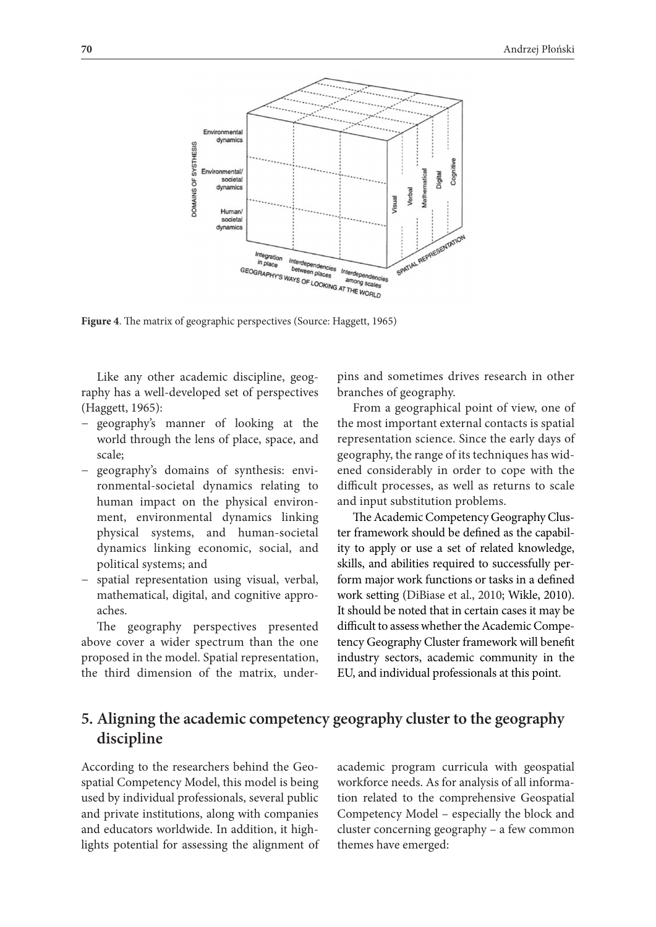

**Figure 4**. The matrix of geographic perspectives (Source: Haggett, 1965)

Like any other academic discipline, geography has a well-developed set of perspectives (Haggett, 1965):

- − geography's manner of looking at the world through the lens of place, space, and scale;
- − geography's domains of synthesis: environmental-societal dynamics relating to human impact on the physical environment, environmental dynamics linking physical systems, and human-societal dynamics linking economic, social, and political systems; and
- − spatial representation using visual, verbal, mathematical, digital, and cognitive approaches.

The geography perspectives presented above cover a wider spectrum than the one proposed in the model. Spatial representation, the third dimension of the matrix, underpins and sometimes drives research in other branches of geography.

From a geographical point of view, one of the most important external contacts is spatial representation science. Since the early days of geography, the range of its techniques has widened considerably in order to cope with the difficult processes, as well as returns to scale and input substitution problems.

The Academic Competency Geography Cluster framework should be defined as the capability to apply or use a set of related knowledge, skills, and abilities required to successfully perform major work functions or tasks in a defined work setting (DiBiase et al., 2010; Wikle, 2010). It should be noted that in certain cases it may be difficult to assess whether the Academic Competency Geography Cluster framework will benefit industry sectors, academic community in the EU, and individual professionals at this point.

## **5. Aligning the academic competency geography cluster to the geography discipline**

According to the researchers behind the Geospatial Competency Model, this model is being used by individual professionals, several public and private institutions, along with companies and educators worldwide. In addition, it highlights potential for assessing the alignment of academic program curricula with geospatial workforce needs. As for analysis of all information related to the comprehensive Geospatial Competency Model – especially the block and cluster concerning geography – a few common themes have emerged: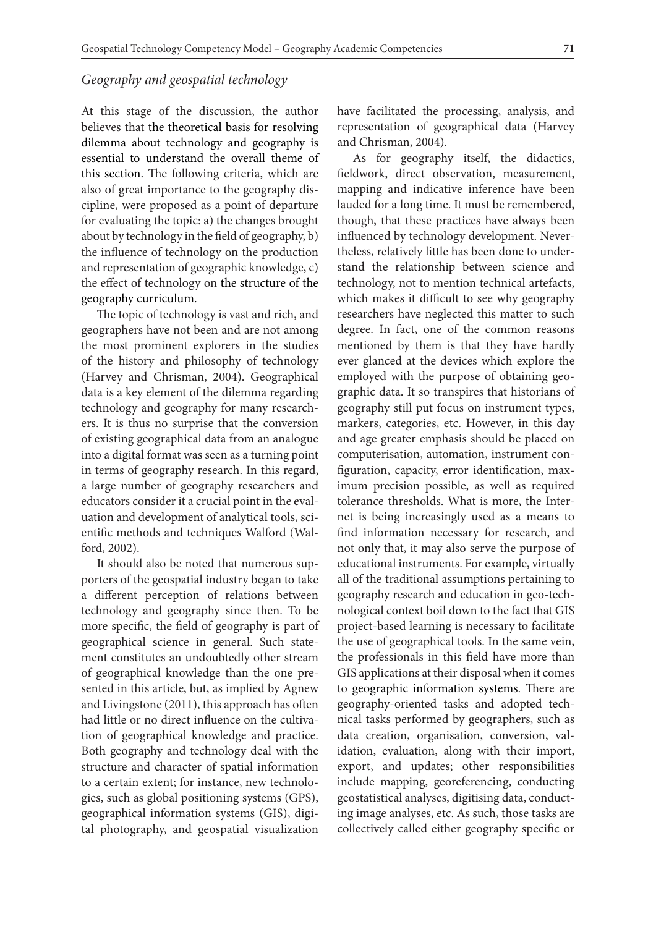#### *Geography and geospatial technology*

At this stage of the discussion, the author believes that the theoretical basis for resolving dilemma about technology and geography is essential to understand the overall theme of this section. The following criteria, which are also of great importance to the geography discipline, were proposed as a point of departure for evaluating the topic: a) the changes brought about by technology in the field of geography, b) the influence of technology on the production and representation of geographic knowledge, c) the effect of technology on the structure of the geography curriculum.

The topic of technology is vast and rich, and geographers have not been and are not among the most prominent explorers in the studies of the history and philosophy of technology (Harvey and Chrisman, 2004). Geographical data is a key element of the dilemma regarding technology and geography for many researchers. It is thus no surprise that the conversion of existing geographical data from an analogue into a digital format was seen as a turning point in terms of geography research. In this regard, a large number of geography researchers and educators consider it a crucial point in the evaluation and development of analytical tools, scientific methods and techniques Walford (Walford, 2002).

It should also be noted that numerous supporters of the geospatial industry began to take a different perception of relations between technology and geography since then. To be more specific, the field of geography is part of geographical science in general. Such statement constitutes an undoubtedly other stream of geographical knowledge than the one presented in this article, but, as implied by Agnew and Livingstone (2011), this approach has often had little or no direct influence on the cultivation of geographical knowledge and practice. Both geography and technology deal with the structure and character of spatial information to a certain extent; for instance, new technologies, such as global positioning systems (GPS), geographical information systems (GIS), digital photography, and geospatial visualization

have facilitated the processing, analysis, and representation of geographical data (Harvey and Chrisman, 2004).

As for geography itself, the didactics, fieldwork, direct observation, measurement, mapping and indicative inference have been lauded for a long time. It must be remembered, though, that these practices have always been influenced by technology development. Nevertheless, relatively little has been done to understand the relationship between science and technology, not to mention technical artefacts, which makes it difficult to see why geography researchers have neglected this matter to such degree. In fact, one of the common reasons mentioned by them is that they have hardly ever glanced at the devices which explore the employed with the purpose of obtaining geographic data. It so transpires that historians of geography still put focus on instrument types, markers, categories, etc. However, in this day and age greater emphasis should be placed on computerisation, automation, instrument configuration, capacity, error identification, maximum precision possible, as well as required tolerance thresholds. What is more, the Internet is being increasingly used as a means to find information necessary for research, and not only that, it may also serve the purpose of educational instruments. For example, virtually all of the traditional assumptions pertaining to geography research and education in geo-technological context boil down to the fact that GIS project-based learning is necessary to facilitate the use of geographical tools. In the same vein, the professionals in this field have more than GIS applications at their disposal when it comes to geographic information systems. There are geography-oriented tasks and adopted technical tasks performed by geographers, such as data creation, organisation, conversion, validation, evaluation, along with their import, export, and updates; other responsibilities include mapping, georeferencing, conducting geostatistical analyses, digitising data, conducting image analyses, etc. As such, those tasks are collectively called either geography specific or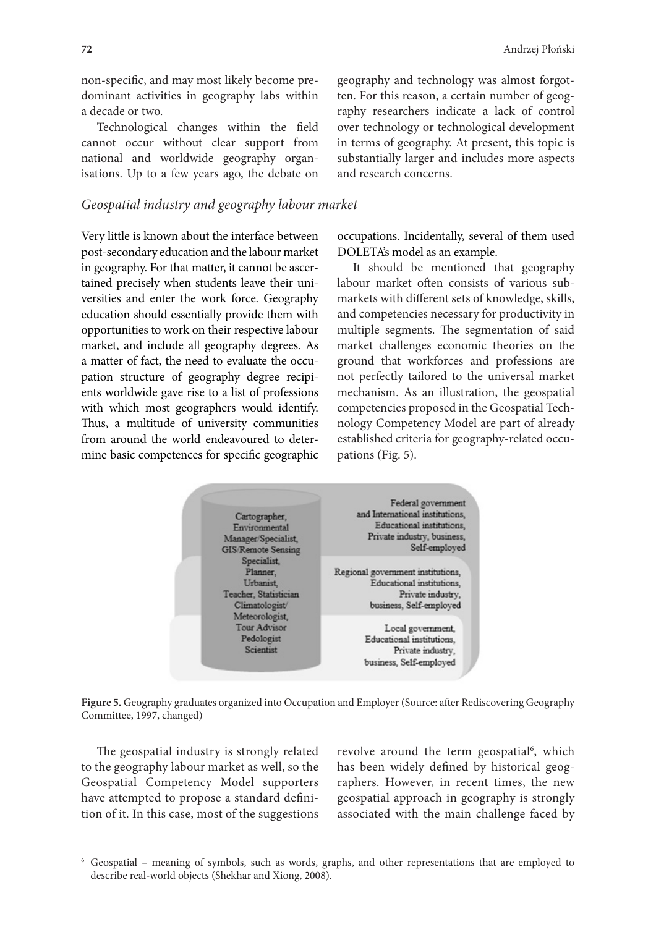non-specific, and may most likely become predominant activities in geography labs within a decade or two.

Technological changes within the field cannot occur without clear support from national and worldwide geography organisations. Up to a few years ago, the debate on

#### *Geospatial industry and geography labour market*

Very little is known about the interface between post-secondary education and the labour market in geography. For that matter, it cannot be ascertained precisely when students leave their universities and enter the work force. Geography education should essentially provide them with opportunities to work on their respective labour market, and include all geography degrees. As a matter of fact, the need to evaluate the occupation structure of geography degree recipients worldwide gave rise to a list of professions with which most geographers would identify. Thus, a multitude of university communities from around the world endeavoured to determine basic competences for specific geographic

geography and technology was almost forgotten. For this reason, a certain number of geography researchers indicate a lack of control over technology or technological development in terms of geography. At present, this topic is substantially larger and includes more aspects and research concerns.

occupations. Incidentally, several of them used DOLETA's model as an example.

It should be mentioned that geography labour market often consists of various submarkets with different sets of knowledge, skills, and competencies necessary for productivity in multiple segments. The segmentation of said market challenges economic theories on the ground that workforces and professions are not perfectly tailored to the universal market mechanism. As an illustration, the geospatial competencies proposed in the Geospatial Technology Competency Model are part of already established criteria for geography-related occupations (Fig. 5).



**Figure 5.** Geography graduates organized into Occupation and Employer (Source: after Rediscovering Geography Committee, 1997, changed)

The geospatial industry is strongly related to the geography labour market as well, so the Geospatial Competency Model supporters have attempted to propose a standard definition of it. In this case, most of the suggestions

revolve around the term geospatial<sup>6</sup>, which has been widely defined by historical geographers. However, in recent times, the new geospatial approach in geography is strongly associated with the main challenge faced by

<sup>6</sup> Geospatial – meaning of symbols, such as words, graphs, and other representations that are employed to describe real-world objects (Shekhar and Xiong, 2008).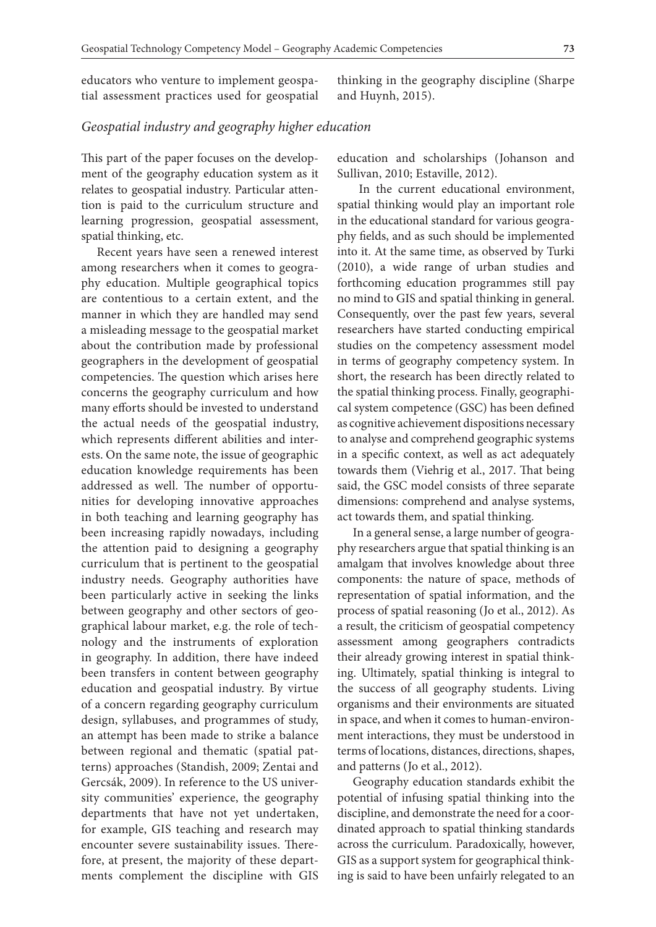educators who venture to implement geospatial assessment practices used for geospatial thinking in the geography discipline (Sharpe and Huynh, 2015).

#### *Geospatial industry and geography higher education*

This part of the paper focuses on the development of the geography education system as it relates to geospatial industry. Particular attention is paid to the curriculum structure and learning progression, geospatial assessment, spatial thinking, etc.

Recent years have seen a renewed interest among researchers when it comes to geography education. Multiple geographical topics are contentious to a certain extent, and the manner in which they are handled may send a misleading message to the geospatial market about the contribution made by professional geographers in the development of geospatial competencies. The question which arises here concerns the geography curriculum and how many efforts should be invested to understand the actual needs of the geospatial industry, which represents different abilities and interests. On the same note, the issue of geographic education knowledge requirements has been addressed as well. The number of opportunities for developing innovative approaches in both teaching and learning geography has been increasing rapidly nowadays, including the attention paid to designing a geography curriculum that is pertinent to the geospatial industry needs. Geography authorities have been particularly active in seeking the links between geography and other sectors of geographical labour market, e.g. the role of technology and the instruments of exploration in geography. In addition, there have indeed been transfers in content between geography education and geospatial industry. By virtue of a concern regarding geography curriculum design, syllabuses, and programmes of study, an attempt has been made to strike a balance between regional and thematic (spatial patterns) approaches (Standish, 2009; Zentai and Gercsák, 2009). In reference to the US university communities' experience, the geography departments that have not yet undertaken, for example, GIS teaching and research may encounter severe sustainability issues. Therefore, at present, the majority of these departments complement the discipline with GIS

education and scholarships (Johanson and Sullivan, 2010; Estaville, 2012).

 In the current educational environment, spatial thinking would play an important role in the educational standard for various geography fields, and as such should be implemented into it. At the same time, as observed by Turki (2010), a wide range of urban studies and forthcoming education programmes still pay no mind to GIS and spatial thinking in general. Consequently, over the past few years, several researchers have started conducting empirical studies on the competency assessment model in terms of geography competency system. In short, the research has been directly related to the spatial thinking process. Finally, geographical system competence (GSC) has been defined as cognitive achievement dispositions necessary to analyse and comprehend geographic systems in a specific context, as well as act adequately towards them (Viehrig et al., 2017. That being said, the GSC model consists of three separate dimensions: comprehend and analyse systems, act towards them, and spatial thinking.

In a general sense, a large number of geography researchers argue that spatial thinking is an amalgam that involves knowledge about three components: the nature of space, methods of representation of spatial information, and the process of spatial reasoning (Jo et al., 2012). As a result, the criticism of geospatial competency assessment among geographers contradicts their already growing interest in spatial thinking. Ultimately, spatial thinking is integral to the success of all geography students. Living organisms and their environments are situated in space, and when it comes to human-environment interactions, they must be understood in terms of locations, distances, directions, shapes, and patterns (Jo et al., 2012).

Geography education standards exhibit the potential of infusing spatial thinking into the discipline, and demonstrate the need for a coordinated approach to spatial thinking standards across the curriculum. Paradoxically, however, GIS as a support system for geographical thinking is said to have been unfairly relegated to an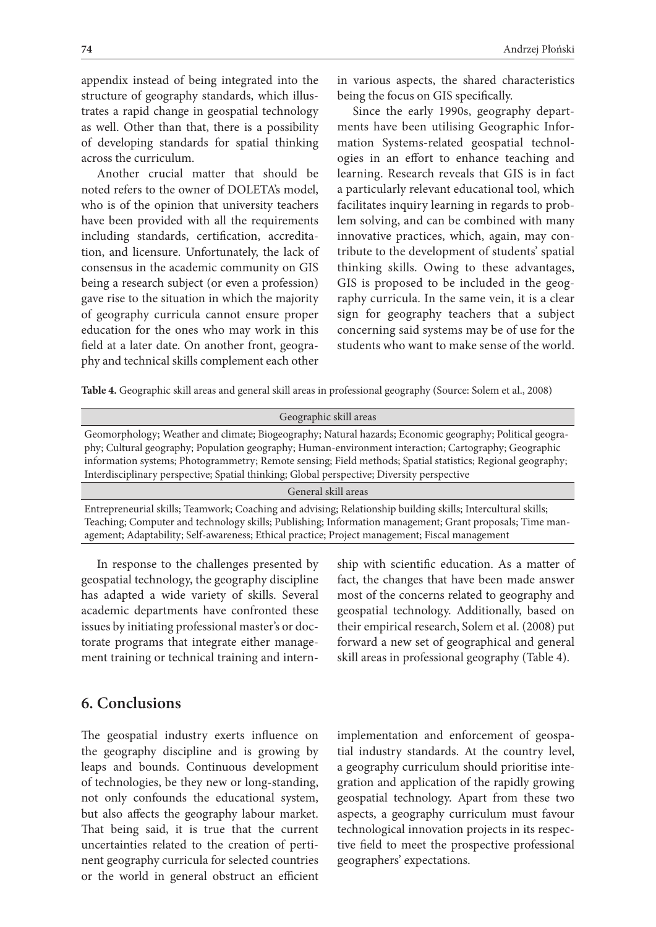appendix instead of being integrated into the structure of geography standards, which illustrates a rapid change in geospatial technology as well. Other than that, there is a possibility of developing standards for spatial thinking across the curriculum.

Another crucial matter that should be noted refers to the owner of DOLETA's model, who is of the opinion that university teachers have been provided with all the requirements including standards, certification, accreditation, and licensure. Unfortunately, the lack of consensus in the academic community on GIS being a research subject (or even a profession) gave rise to the situation in which the majority of geography curricula cannot ensure proper education for the ones who may work in this field at a later date. On another front, geography and technical skills complement each other

in various aspects, the shared characteristics being the focus on GIS specifically.

Since the early 1990s, geography departments have been utilising Geographic Information Systems-related geospatial technologies in an effort to enhance teaching and learning. Research reveals that GIS is in fact a particularly relevant educational tool, which facilitates inquiry learning in regards to problem solving, and can be combined with many innovative practices, which, again, may contribute to the development of students' spatial thinking skills. Owing to these advantages, GIS is proposed to be included in the geography curricula. In the same vein, it is a clear sign for geography teachers that a subject concerning said systems may be of use for the students who want to make sense of the world.

**Table 4.** Geographic skill areas and general skill areas in professional geography (Source: Solem et al., 2008)

| Geographic skill areas                                                                                                                                                                                                                                                                                                                                                                                                         |
|--------------------------------------------------------------------------------------------------------------------------------------------------------------------------------------------------------------------------------------------------------------------------------------------------------------------------------------------------------------------------------------------------------------------------------|
| Geomorphology; Weather and climate; Biogeography; Natural hazards; Economic geography; Political geogra-<br>phy; Cultural geography; Population geography; Human-environment interaction; Cartography; Geographic<br>information systems; Photogrammetry; Remote sensing; Field methods; Spatial statistics; Regional geography;<br>Interdisciplinary perspective; Spatial thinking; Global perspective; Diversity perspective |
| General skill areas                                                                                                                                                                                                                                                                                                                                                                                                            |
| Entrepreneurial skills; Teamwork; Coaching and advising; Relationship building skills; Intercultural skills;<br>Teaching; Computer and technology skills; Publishing; Information management; Grant proposals; Time man-<br>agement; Adaptability; Self-awareness; Ethical practice; Project management; Fiscal management                                                                                                     |

In response to the challenges presented by geospatial technology, the geography discipline has adapted a wide variety of skills. Several academic departments have confronted these issues by initiating professional master's or doctorate programs that integrate either management training or technical training and intern-

ship with scientific education. As a matter of fact, the changes that have been made answer most of the concerns related to geography and geospatial technology. Additionally, based on their empirical research, Solem et al. (2008) put forward a new set of geographical and general skill areas in professional geography (Table 4).

## **6. Conclusions**

The geospatial industry exerts influence on the geography discipline and is growing by leaps and bounds. Continuous development of technologies, be they new or long-standing, not only confounds the educational system, but also affects the geography labour market. That being said, it is true that the current uncertainties related to the creation of pertinent geography curricula for selected countries or the world in general obstruct an efficient implementation and enforcement of geospatial industry standards. At the country level, a geography curriculum should prioritise integration and application of the rapidly growing geospatial technology. Apart from these two aspects, a geography curriculum must favour technological innovation projects in its respective field to meet the prospective professional geographers' expectations.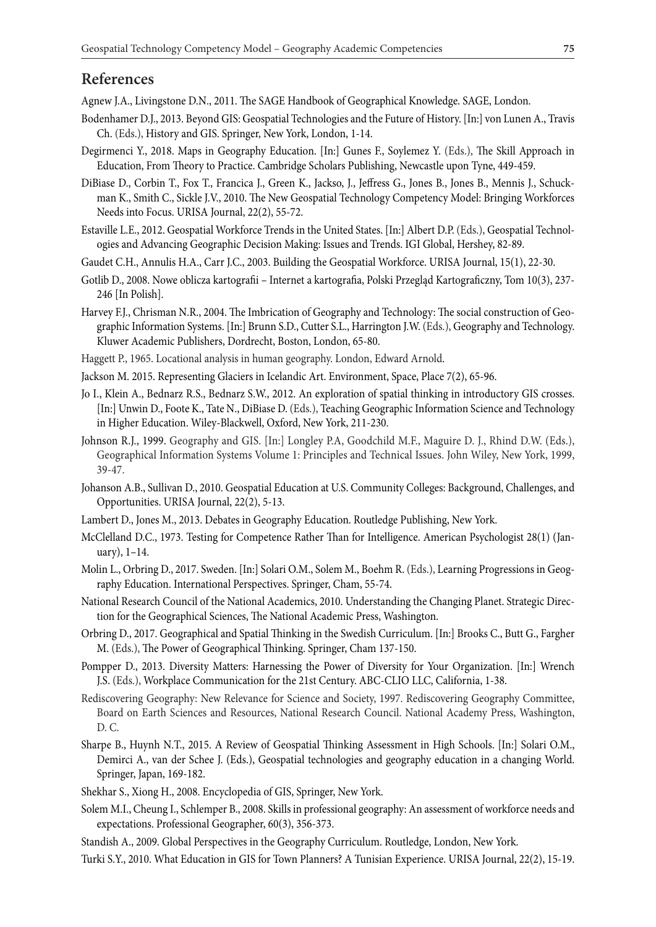## **References**

Agnew J.A., Livingstone D.N., 2011. The SAGE Handbook of Geographical Knowledge. SAGE, London.

- Bodenhamer D.J., 2013. Beyond GIS: Geospatial Technologies and the Future of History. [In:] von Lunen A., Travis Ch. (Eds.), History and GIS. Springer, New York, London, 1-14.
- Degirmenci Y., 2018. Maps in Geography Education. [In:] Gunes F., Soylemez Y. (Eds.), The Skill Approach in Education, From Theory to Practice. Cambridge Scholars Publishing, Newcastle upon Tyne, 449-459.
- DiBiase D., Corbin T., Fox T., Francica J., Green K., Jackso, J., Jeffress G., Jones B., Jones B., Mennis J., Schuckman K., Smith C., Sickle J.V., 2010. The New Geospatial Technology Competency Model: Bringing Workforces Needs into Focus. URISA Journal, 22(2), 55-72.
- Estaville L.E., 2012. Geospatial Workforce Trends in the United States. [In:] Albert D.P. (Eds.), Geospatial Technologies and Advancing Geographic Decision Making: Issues and Trends. IGI Global, Hershey, 82-89.
- Gaudet C.H., Annulis H.A., Carr J.C., 2003. Building the Geospatial Workforce. URISA Journal, 15(1), 22-30.
- Gotlib D., 2008. Nowe oblicza kartografii Internet a kartografia, Polski Przegląd Kartograficzny, Tom 10(3), 237- 246 [In Polish].
- Harvey F.J., Chrisman N.R., 2004. The Imbrication of Geography and Technology: The social construction of Geographic Information Systems. [In:] Brunn S.D., Cutter S.L., Harrington J.W. (Eds.), Geography and Technology. Kluwer Academic Publishers, Dordrecht, Boston, London, 65-80.
- Haggett P., 1965. Locational analysis in human geography. London, Edward Arnold.
- Jackson M. 2015. Representing Glaciers in Icelandic Art. Environment, Space, Place 7(2), 65-96.
- Jo I., Klein A., Bednarz R.S., Bednarz S.W., 2012. An exploration of spatial thinking in introductory GIS crosses. [In:] Unwin D., Foote K., Tate N., DiBiase D. (Eds.), Teaching Geographic Information Science and Technology in Higher Education. Wiley-Blackwell, Oxford, New York, 211-230.
- Johnson R.J., 1999. Geography and GIS. [In:] Longley P.A, Goodchild M.F., Maguire D. J., Rhind D.W. (Eds.), Geographical Information Systems Volume 1: Principles and Technical Issues. John Wiley, New York, 1999, 39-47.
- Johanson A.B., Sullivan D., 2010. Geospatial Education at U.S. Community Colleges: Background, Challenges, and Opportunities. URISA Journal, 22(2), 5-13.
- Lambert D., Jones M., 2013. Debates in Geography Education. Routledge Publishing, New York.
- McClelland D.C., 1973. Testing for Competence Rather Than for Intelligence. American Psychologist 28(1) (January), 1–14.
- Molin L., Orbring D., 2017. Sweden. [In:] Solari O.M., Solem M., Boehm R. (Eds.), Learning Progressions in Geography Education. International Perspectives. Springer, Cham, 55-74.
- National Research Council of the National Academics, 2010. Understanding the Changing Planet. Strategic Direction for the Geographical Sciences, The National Academic Press, Washington.
- Orbring D., 2017. Geographical and Spatial Thinking in the Swedish Curriculum. [In:] Brooks C., Butt G., Fargher M. (Eds.), The Power of Geographical Thinking. Springer, Cham 137-150.
- Pompper D., 2013. Diversity Matters: Harnessing the Power of Diversity for Your Organization. [In:] Wrench J.S. (Eds.), Workplace Communication for the 21st Century. ABC-CLIO LLC, California, 1-38.
- Rediscovering Geography: New Relevance for Science and Society, 1997. Rediscovering Geography Committee, Board on Earth Sciences and Resources, National Research Council. National Academy Press, Washington, D. C.
- Sharpe B., Huynh N.T., 2015. A Review of Geospatial Thinking Assessment in High Schools. [In:] Solari O.M., Demirci A., van der Schee J. (Eds.), Geospatial technologies and geography education in a changing World. Springer, Japan, 169-182.
- Shekhar S., Xiong H., 2008. Encyclopedia of GIS, Springer, New York.
- Solem M.I., Cheung I., Schlemper B., 2008. Skills in professional geography: An assessment of workforce needs and expectations. Professional Geographer, 60(3), 356-373.
- Standish A., 2009. Global Perspectives in the Geography Curriculum. Routledge, London, New York.
- Turki S.Y., 2010. What Education in GIS for Town Planners? A Tunisian Experience. URISA Journal, 22(2), 15-19.